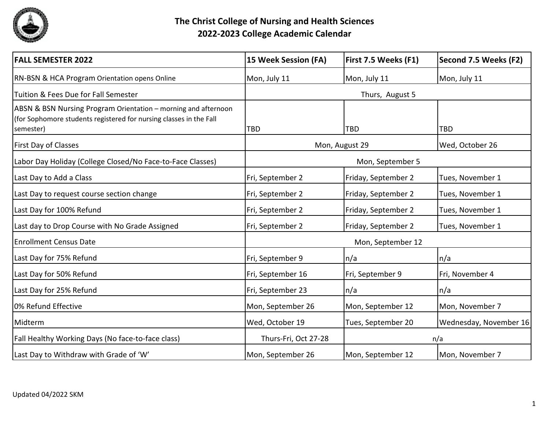

| <b>FALL SEMESTER 2022</b>                                                                                                                         | 15 Week Session (FA)              | First 7.5 Weeks (F1) | Second 7.5 Weeks (F2)  |
|---------------------------------------------------------------------------------------------------------------------------------------------------|-----------------------------------|----------------------|------------------------|
| RN-BSN & HCA Program Orientation opens Online                                                                                                     | Mon, July 11                      | Mon, July 11         | Mon, July 11           |
| Tuition & Fees Due for Fall Semester                                                                                                              | Thurs, August 5                   |                      |                        |
| ABSN & BSN Nursing Program Orientation – morning and afternoon<br>(for Sophomore students registered for nursing classes in the Fall<br>semester) | <b>TBD</b>                        | <b>TBD</b>           | <b>TBD</b>             |
| <b>First Day of Classes</b>                                                                                                                       | Mon, August 29<br>Wed, October 26 |                      |                        |
| Labor Day Holiday (College Closed/No Face-to-Face Classes)                                                                                        | Mon, September 5                  |                      |                        |
| Last Day to Add a Class                                                                                                                           | Fri, September 2                  | Friday, September 2  | Tues, November 1       |
| Last Day to request course section change                                                                                                         | Fri, September 2                  | Friday, September 2  | Tues, November 1       |
| Last Day for 100% Refund                                                                                                                          | Fri, September 2                  | Friday, September 2  | Tues, November 1       |
| Last day to Drop Course with No Grade Assigned                                                                                                    | Fri, September 2                  | Friday, September 2  | Tues, November 1       |
| <b>Enrollment Census Date</b>                                                                                                                     | Mon, September 12                 |                      |                        |
| Last Day for 75% Refund                                                                                                                           | Fri, September 9                  | n/a                  | n/a                    |
| Last Day for 50% Refund                                                                                                                           | Fri, September 16                 | Fri, September 9     | Fri, November 4        |
| Last Day for 25% Refund                                                                                                                           | Fri, September 23                 | n/a                  | n/a                    |
| 0% Refund Effective                                                                                                                               | Mon, September 26                 | Mon, September 12    | Mon, November 7        |
| Midterm                                                                                                                                           | Wed, October 19                   | Tues, September 20   | Wednesday, November 16 |
| Fall Healthy Working Days (No face-to-face class)                                                                                                 | Thurs-Fri, Oct 27-28              |                      | n/a                    |
| Last Day to Withdraw with Grade of 'W'                                                                                                            | Mon, September 26                 | Mon, September 12    | Mon, November 7        |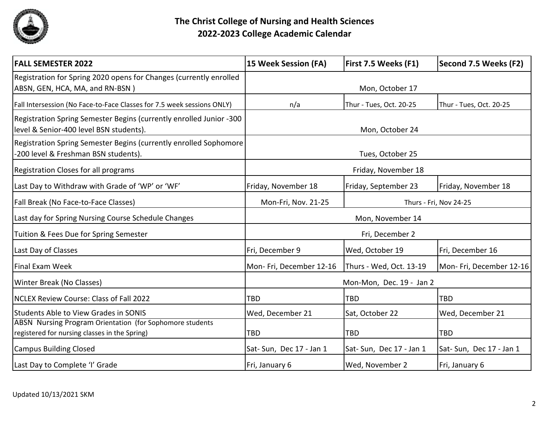

| <b>FALL SEMESTER 2022</b>                                                                                      | 15 Week Session (FA)                          | First 7.5 Weeks (F1)    | Second 7.5 Weeks (F2)   |
|----------------------------------------------------------------------------------------------------------------|-----------------------------------------------|-------------------------|-------------------------|
| Registration for Spring 2020 opens for Changes (currently enrolled<br>ABSN, GEN, HCA, MA, and RN-BSN)          | Mon, October 17                               |                         |                         |
| Fall Intersession (No Face-to-Face Classes for 7.5 week sessions ONLY)                                         | n/a                                           | Thur - Tues, Oct. 20-25 | Thur - Tues, Oct. 20-25 |
| Registration Spring Semester Begins (currently enrolled Junior -300<br>level & Senior-400 level BSN students). | Mon, October 24                               |                         |                         |
| Registration Spring Semester Begins (currently enrolled Sophomore<br>-200 level & Freshman BSN students).      | Tues, October 25                              |                         |                         |
| Registration Closes for all programs                                                                           | Friday, November 18                           |                         |                         |
| Last Day to Withdraw with Grade of 'WP' or 'WF'                                                                | Friday, November 18                           | Friday, September 23    | Friday, November 18     |
| Fall Break (No Face-to-Face Classes)                                                                           | Mon-Fri, Nov. 21-25<br>Thurs - Fri, Nov 24-25 |                         |                         |
| Last day for Spring Nursing Course Schedule Changes                                                            | Mon, November 14                              |                         |                         |
| Tuition & Fees Due for Spring Semester                                                                         | Fri, December 2                               |                         |                         |
| Last Day of Classes                                                                                            | Fri, December 9                               | Wed, October 19         | Fri, December 16        |
| <b>Final Exam Week</b>                                                                                         | Mon-Fri, December 12-16                       | Thurs - Wed, Oct. 13-19 | Mon-Fri, December 12-16 |
| Winter Break (No Classes)                                                                                      | Mon-Mon, Dec. 19 - Jan 2                      |                         |                         |
| <b>NCLEX Review Course: Class of Fall 2022</b>                                                                 | <b>TBD</b>                                    | <b>TBD</b>              | TBD                     |
| <b>Students Able to View Grades in SONIS</b>                                                                   | Wed, December 21                              | Sat, October 22         | Wed, December 21        |
| ABSN Nursing Program Orientation (for Sophomore students<br>registered for nursing classes in the Spring)      | <b>TBD</b>                                    | <b>TBD</b>              | TBD                     |
| <b>Campus Building Closed</b>                                                                                  | Sat-Sun, Dec 17 - Jan 1                       | Sat-Sun, Dec 17 - Jan 1 | Sat-Sun, Dec 17 - Jan 1 |
| Last Day to Complete 'I' Grade                                                                                 | Fri, January 6                                | Wed, November 2         | Fri, January 6          |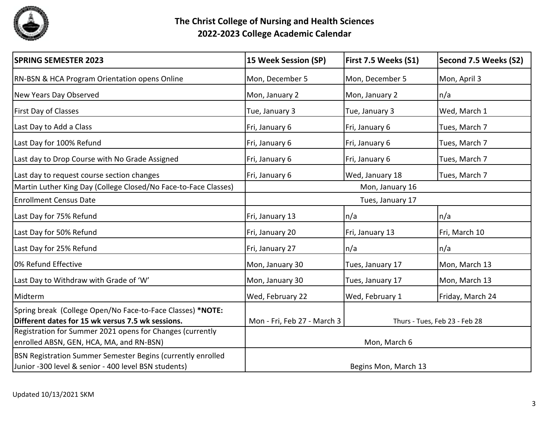

| <b>SPRING SEMESTER 2023</b>                                                                                         | <b>15 Week Session (SP)</b> | First 7.5 Weeks (S1) | Second 7.5 Weeks (S2)         |
|---------------------------------------------------------------------------------------------------------------------|-----------------------------|----------------------|-------------------------------|
| <b>RN-BSN &amp; HCA Program Orientation opens Online</b>                                                            | Mon, December 5             | Mon, December 5      | Mon, April 3                  |
| New Years Day Observed                                                                                              | Mon, January 2              | Mon, January 2       | n/a                           |
| <b>First Day of Classes</b>                                                                                         | Tue, January 3              | Tue, January 3       | Wed, March 1                  |
| Last Day to Add a Class                                                                                             | Fri, January 6              | Fri, January 6       | Tues, March 7                 |
| Last Day for 100% Refund                                                                                            | Fri, January 6              | Fri, January 6       | Tues, March 7                 |
| Last day to Drop Course with No Grade Assigned                                                                      | Fri, January 6              | Fri, January 6       | Tues, March 7                 |
| Last day to request course section changes                                                                          | Fri, January 6              | Wed, January 18      | Tues, March 7                 |
| Martin Luther King Day (College Closed/No Face-to-Face Classes)                                                     | Mon, January 16             |                      |                               |
| <b>Enrollment Census Date</b>                                                                                       | Tues, January 17            |                      |                               |
| Last Day for 75% Refund                                                                                             | Fri, January 13             | n/a                  | n/a                           |
| Last Day for 50% Refund                                                                                             | Fri, January 20             | Fri, January 13      | Fri, March 10                 |
| Last Day for 25% Refund                                                                                             | Fri, January 27             | n/a                  | n/a                           |
| 0% Refund Effective                                                                                                 | Mon, January 30             | Tues, January 17     | Mon, March 13                 |
| Last Day to Withdraw with Grade of 'W'                                                                              | Mon, January 30             | Tues, January 17     | Mon, March 13                 |
| Midterm                                                                                                             | Wed, February 22            | Wed, February 1      | Friday, March 24              |
| Spring break (College Open/No Face-to-Face Classes) *NOTE:<br>Different dates for 15 wk versus 7.5 wk sessions.     | Mon - Fri, Feb 27 - March 3 |                      | Thurs - Tues, Feb 23 - Feb 28 |
| Registration for Summer 2021 opens for Changes (currently<br>enrolled ABSN, GEN, HCA, MA, and RN-BSN)               | Mon, March 6                |                      |                               |
| BSN Registration Summer Semester Begins (currently enrolled<br>Junior -300 level & senior - 400 level BSN students) |                             | Begins Mon, March 13 |                               |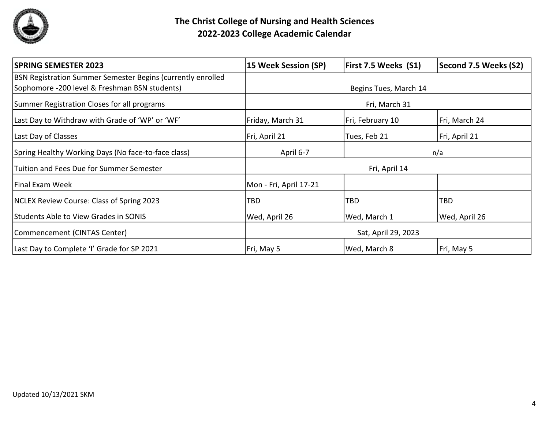

| <b>SPRING SEMESTER 2023</b>                                 | <b>15 Week Session (SP)</b> | First 7.5 Weeks (S1)  | Second 7.5 Weeks (S2) |  |
|-------------------------------------------------------------|-----------------------------|-----------------------|-----------------------|--|
| BSN Registration Summer Semester Begins (currently enrolled |                             |                       |                       |  |
| Sophomore -200 level & Freshman BSN students)               |                             | Begins Tues, March 14 |                       |  |
| Summer Registration Closes for all programs                 |                             | Fri, March 31         |                       |  |
| Last Day to Withdraw with Grade of 'WP' or 'WF'             | Friday, March 31            | Fri, February 10      | Fri, March 24         |  |
| Last Day of Classes                                         | Fri, April 21               | Tues, Feb 21          | Fri, April 21         |  |
| Spring Healthy Working Days (No face-to-face class)         | April 6-7                   | n/a                   |                       |  |
| Tuition and Fees Due for Summer Semester                    | Fri, April 14               |                       |                       |  |
| Final Exam Week                                             | Mon - Fri, April 17-21      |                       |                       |  |
| <b>NCLEX Review Course: Class of Spring 2023</b>            | TBD                         | <b>TBD</b>            | <b>TBD</b>            |  |
| <b>Students Able to View Grades in SONIS</b>                | Wed, April 26               | Wed, March 1          | Wed, April 26         |  |
| Commencement (CINTAS Center)                                | Sat, April 29, 2023         |                       |                       |  |
| Last Day to Complete 'I' Grade for SP 2021                  | Fri, May 5                  | Wed, March 8          | Fri, May 5            |  |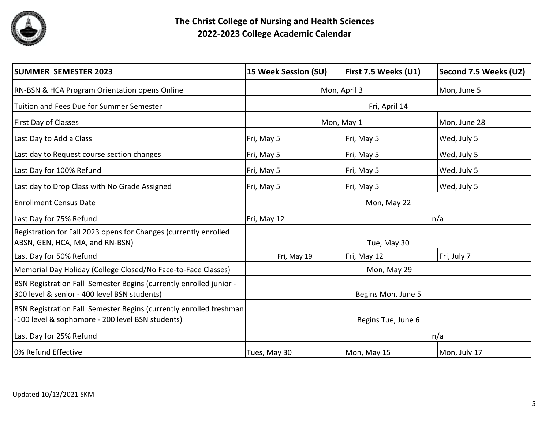

| <b>SUMMER SEMESTER 2023</b>                                                                                             | 15 Week Session (SU) | <b>First 7.5 Weeks (U1)</b> | Second 7.5 Weeks (U2) |
|-------------------------------------------------------------------------------------------------------------------------|----------------------|-----------------------------|-----------------------|
| <b>RN-BSN &amp; HCA Program Orientation opens Online</b>                                                                | Mon, April 3         |                             | Mon, June 5           |
| Tuition and Fees Due for Summer Semester                                                                                | Fri, April 14        |                             |                       |
| First Day of Classes                                                                                                    | Mon, May 1           |                             | Mon, June 28          |
| Last Day to Add a Class                                                                                                 | Fri, May 5           | Fri, May 5                  | Wed, July 5           |
| Last day to Request course section changes                                                                              | Fri, May 5           | Fri, May 5                  | Wed, July 5           |
| Last Day for 100% Refund                                                                                                | Fri, May 5           | Fri, May 5                  | Wed, July 5           |
| Last day to Drop Class with No Grade Assigned                                                                           | Fri, May 5           | Fri, May 5                  | Wed, July 5           |
| <b>Enrollment Census Date</b>                                                                                           | Mon, May 22          |                             |                       |
| Last Day for 75% Refund                                                                                                 | Fri, May 12<br>n/a   |                             |                       |
| Registration for Fall 2023 opens for Changes (currently enrolled<br>ABSN, GEN, HCA, MA, and RN-BSN)                     |                      | Tue, May 30                 |                       |
| Last Day for 50% Refund                                                                                                 | Fri, May 19          | Fri, May 12                 | Fri, July 7           |
| Memorial Day Holiday (College Closed/No Face-to-Face Classes)                                                           | Mon, May 29          |                             |                       |
| BSN Registration Fall Semester Begins (currently enrolled junior -<br>300 level & senior - 400 level BSN students)      | Begins Mon, June 5   |                             |                       |
| BSN Registration Fall Semester Begins (currently enrolled freshman)<br>-100 level & sophomore - 200 level BSN students) | Begins Tue, June 6   |                             |                       |
| Last Day for 25% Refund                                                                                                 | n/a                  |                             |                       |
| 0% Refund Effective                                                                                                     | Tues, May 30         | Mon, May 15                 | Mon, July 17          |